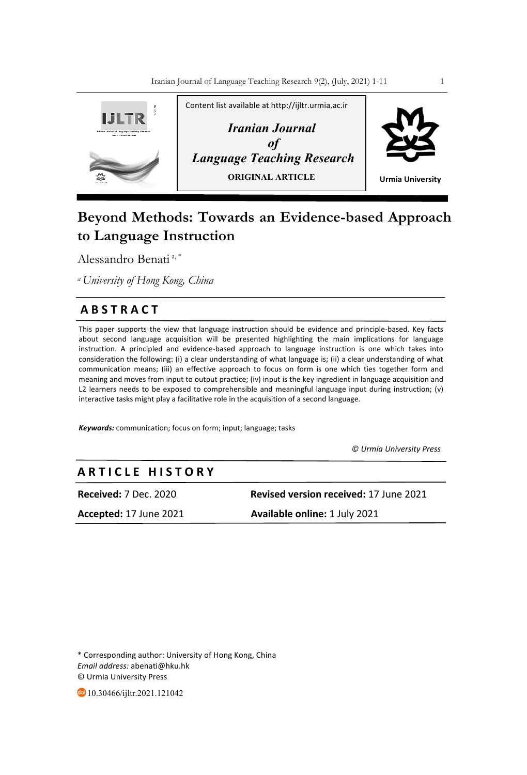

# **Beyond Methods: Towards an Evidence-based Approach to Language Instruction**

Alessandro Benati<sup>a,\*</sup>

*a University of Hong Kong, China* 

# **A B S T R A C T**

This paper supports the view that language instruction should be evidence and principle-based. Key facts about second language acquisition will be presented highlighting the main implications for language instruction. A principled and evidence-based approach to language instruction is one which takes into consideration the following: (i) a clear understanding of what language is; (ii) a clear understanding of what communication means; (iii) an effective approach to focus on form is one which ties together form and meaning and moves from input to output practice; (iv) input is the key ingredient in language acquisition and L2 learners needs to be exposed to comprehensible and meaningful language input during instruction; (v) interactive tasks might play a facilitative role in the acquisition of a second language.

*Keywords:* communication; focus on form; input; language; tasks

 *© Urmia University Press*

# **A R T I C L E H I S T O R Y**

**Received:** 7 Dec. 2020 **Revised version received:** 17 June 2021

**Accepted:** 17 June 2021 **Available online:** 1 July 2021

\* Corresponding author: University of Hong Kong, China *Email address:* abenati@hku.hk © Urmia University Press

10.30466/ijltr.2021.121042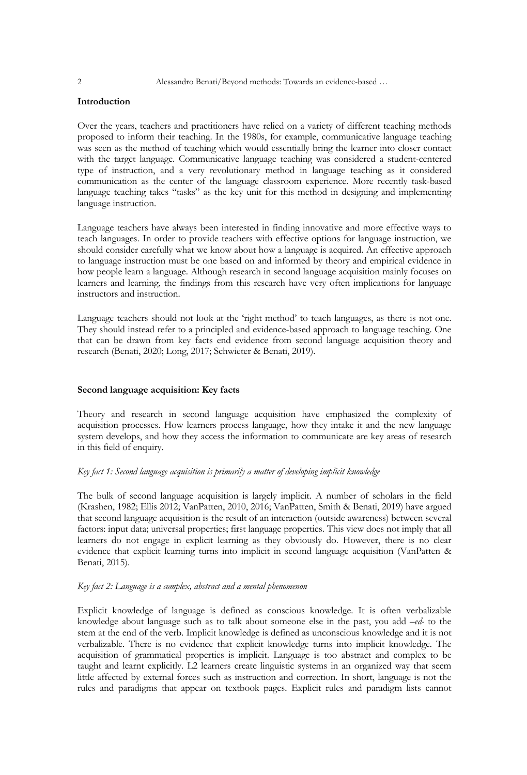# **Introduction**

Over the years, teachers and practitioners have relied on a variety of different teaching methods proposed to inform their teaching. In the 1980s, for example, communicative language teaching was seen as the method of teaching which would essentially bring the learner into closer contact with the target language. Communicative language teaching was considered a student-centered type of instruction, and a very revolutionary method in language teaching as it considered communication as the center of the language classroom experience. More recently task-based language teaching takes "tasks" as the key unit for this method in designing and implementing language instruction.

Language teachers have always been interested in finding innovative and more effective ways to teach languages. In order to provide teachers with effective options for language instruction, we should consider carefully what we know about how a language is acquired. An effective approach to language instruction must be one based on and informed by theory and empirical evidence in how people learn a language. Although research in second language acquisition mainly focuses on learners and learning, the findings from this research have very often implications for language instructors and instruction.

Language teachers should not look at the 'right method' to teach languages, as there is not one. They should instead refer to a principled and evidence-based approach to language teaching. One that can be drawn from key facts end evidence from second language acquisition theory and research (Benati, 2020; Long, 2017; Schwieter & Benati, 2019).

# **Second language acquisition: Key facts**

Theory and research in second language acquisition have emphasized the complexity of acquisition processes. How learners process language, how they intake it and the new language system develops, and how they access the information to communicate are key areas of research in this field of enquiry.

# *Key fact 1: Second language acquisition is primarily a matter of developing implicit knowledge*

The bulk of second language acquisition is largely implicit. A number of scholars in the field (Krashen, 1982; Ellis 2012; VanPatten, 2010, 2016; VanPatten, Smith & Benati, 2019) have argued that second language acquisition is the result of an interaction (outside awareness) between several factors: input data; universal properties; first language properties. This view does not imply that all learners do not engage in explicit learning as they obviously do. However, there is no clear evidence that explicit learning turns into implicit in second language acquisition (VanPatten & Benati, 2015).

# *Key fact 2: Language is a complex, abstract and a mental phenomenon*

Explicit knowledge of language is defined as conscious knowledge. It is often verbalizable knowledge about language such as to talk about someone else in the past, you add *–ed-* to the stem at the end of the verb. Implicit knowledge is defined as unconscious knowledge and it is not verbalizable. There is no evidence that explicit knowledge turns into implicit knowledge. The acquisition of grammatical properties is implicit. Language is too abstract and complex to be taught and learnt explicitly. L2 learners create linguistic systems in an organized way that seem little affected by external forces such as instruction and correction. In short, language is not the rules and paradigms that appear on textbook pages. Explicit rules and paradigm lists cannot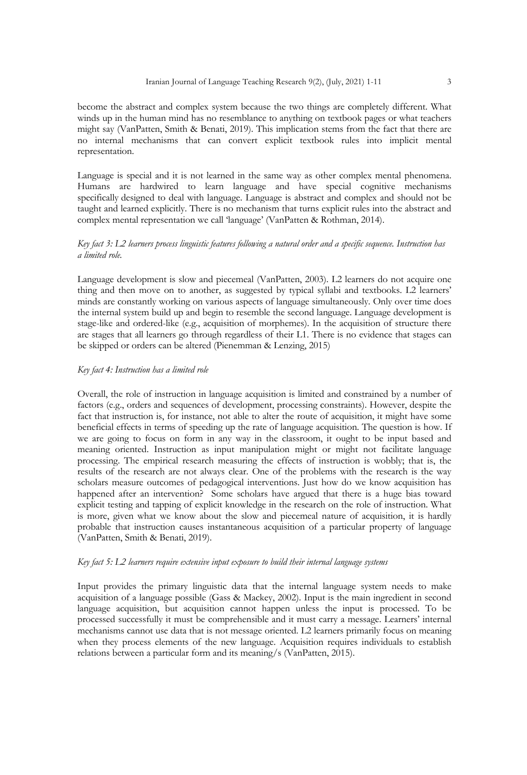become the abstract and complex system because the two things are completely different. What winds up in the human mind has no resemblance to anything on textbook pages or what teachers might say (VanPatten, Smith & Benati, 2019). This implication stems from the fact that there are no internal mechanisms that can convert explicit textbook rules into implicit mental representation.

Language is special and it is not learned in the same way as other complex mental phenomena. Humans are hardwired to learn language and have special cognitive mechanisms specifically designed to deal with language. Language is abstract and complex and should not be taught and learned explicitly. There is no mechanism that turns explicit rules into the abstract and complex mental representation we call 'language' (VanPatten & Rothman, 2014).

# *Key fact 3: L2 learners process linguistic features following a natural order and a specific sequence. Instruction has a limited role.*

Language development is slow and piecemeal (VanPatten, 2003). L2 learners do not acquire one thing and then move on to another, as suggested by typical syllabi and textbooks. L2 learners' minds are constantly working on various aspects of language simultaneously. Only over time does the internal system build up and begin to resemble the second language. Language development is stage-like and ordered-like (e.g., acquisition of morphemes). In the acquisition of structure there are stages that all learners go through regardless of their L1. There is no evidence that stages can be skipped or orders can be altered (Pienemman & Lenzing, 2015)

# *Key fact 4: Instruction has a limited role*

Overall, the role of instruction in language acquisition is limited and constrained by a number of factors (e.g., orders and sequences of development, processing constraints). However, despite the fact that instruction is, for instance, not able to alter the route of acquisition, it might have some beneficial effects in terms of speeding up the rate of language acquisition. The question is how. If we are going to focus on form in any way in the classroom, it ought to be input based and meaning oriented. Instruction as input manipulation might or might not facilitate language processing. The empirical research measuring the effects of instruction is wobbly; that is, the results of the research are not always clear. One of the problems with the research is the way scholars measure outcomes of pedagogical interventions. Just how do we know acquisition has happened after an intervention? Some scholars have argued that there is a huge bias toward explicit testing and tapping of explicit knowledge in the research on the role of instruction. What is more, given what we know about the slow and piecemeal nature of acquisition, it is hardly probable that instruction causes instantaneous acquisition of a particular property of language (VanPatten, Smith & Benati, 2019).

# *Key fact 5: L2 learners require extensive input exposure to build their internal language systems*

Input provides the primary linguistic data that the internal language system needs to make acquisition of a language possible (Gass & Mackey, 2002). Input is the main ingredient in second language acquisition, but acquisition cannot happen unless the input is processed. To be processed successfully it must be comprehensible and it must carry a message. Learners' internal mechanisms cannot use data that is not message oriented. L2 learners primarily focus on meaning when they process elements of the new language. Acquisition requires individuals to establish relations between a particular form and its meaning/s (VanPatten, 2015).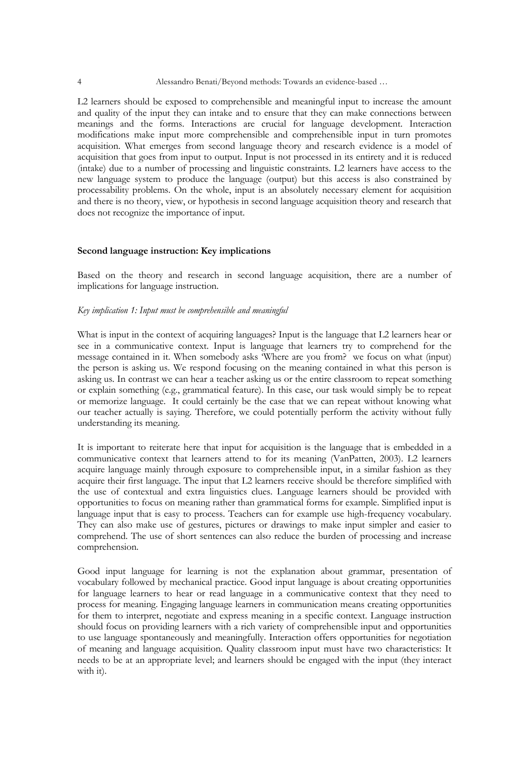L2 learners should be exposed to comprehensible and meaningful input to increase the amount and quality of the input they can intake and to ensure that they can make connections between meanings and the forms. Interactions are crucial for language development. Interaction modifications make input more comprehensible and comprehensible input in turn promotes acquisition. What emerges from second language theory and research evidence is a model of acquisition that goes from input to output. Input is not processed in its entirety and it is reduced (intake) due to a number of processing and linguistic constraints. L2 learners have access to the new language system to produce the language (output) but this access is also constrained by processability problems. On the whole, input is an absolutely necessary element for acquisition and there is no theory, view, or hypothesis in second language acquisition theory and research that does not recognize the importance of input.

#### **Second language instruction: Key implications**

Based on the theory and research in second language acquisition, there are a number of implications for language instruction.

#### *Key implication 1: Input must be comprehensible and meaningful*

What is input in the context of acquiring languages? Input is the language that L2 learners hear or see in a communicative context. Input is language that learners try to comprehend for the message contained in it. When somebody asks 'Where are you from? we focus on what (input) the person is asking us. We respond focusing on the meaning contained in what this person is asking us. In contrast we can hear a teacher asking us or the entire classroom to repeat something or explain something (e.g., grammatical feature). In this case, our task would simply be to repeat or memorize language. It could certainly be the case that we can repeat without knowing what our teacher actually is saying. Therefore, we could potentially perform the activity without fully understanding its meaning.

It is important to reiterate here that input for acquisition is the language that is embedded in a communicative context that learners attend to for its meaning (VanPatten, 2003). L2 learners acquire language mainly through exposure to comprehensible input, in a similar fashion as they acquire their first language. The input that L2 learners receive should be therefore simplified with the use of contextual and extra linguistics clues. Language learners should be provided with opportunities to focus on meaning rather than grammatical forms for example. Simplified input is language input that is easy to process. Teachers can for example use high-frequency vocabulary. They can also make use of gestures, pictures or drawings to make input simpler and easier to comprehend. The use of short sentences can also reduce the burden of processing and increase comprehension.

Good input language for learning is not the explanation about grammar, presentation of vocabulary followed by mechanical practice. Good input language is about creating opportunities for language learners to hear or read language in a communicative context that they need to process for meaning. Engaging language learners in communication means creating opportunities for them to interpret, negotiate and express meaning in a specific context. Language instruction should focus on providing learners with a rich variety of comprehensible input and opportunities to use language spontaneously and meaningfully. Interaction offers opportunities for negotiation of meaning and language acquisition. Quality classroom input must have two characteristics: It needs to be at an appropriate level; and learners should be engaged with the input (they interact with it).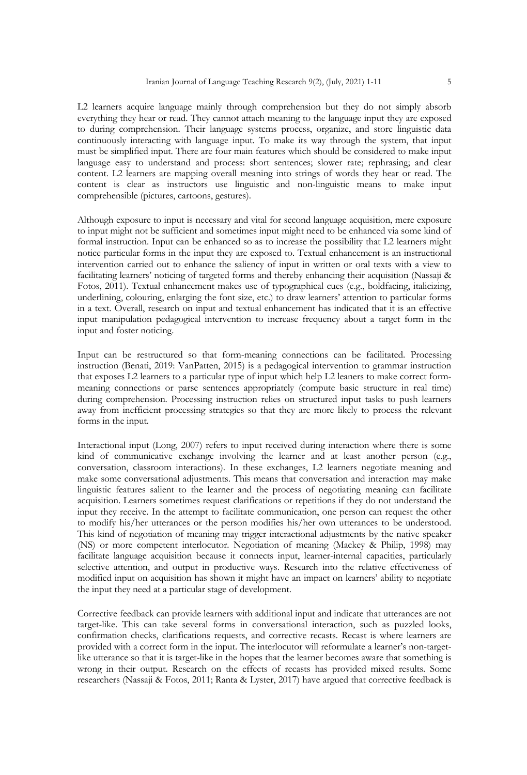L2 learners acquire language mainly through comprehension but they do not simply absorb everything they hear or read. They cannot attach meaning to the language input they are exposed to during comprehension. Their language systems process, organize, and store linguistic data continuously interacting with language input. To make its way through the system, that input must be simplified input. There are four main features which should be considered to make input language easy to understand and process: short sentences; slower rate; rephrasing; and clear content. L2 learners are mapping overall meaning into strings of words they hear or read. The content is clear as instructors use linguistic and non-linguistic means to make input comprehensible (pictures, cartoons, gestures).

Although exposure to input is necessary and vital for second language acquisition, mere exposure to input might not be sufficient and sometimes input might need to be enhanced via some kind of formal instruction. Input can be enhanced so as to increase the possibility that L2 learners might notice particular forms in the input they are exposed to. Textual enhancement is an instructional intervention carried out to enhance the saliency of input in written or oral texts with a view to facilitating learners' noticing of targeted forms and thereby enhancing their acquisition (Nassaji & Fotos, 2011). Textual enhancement makes use of typographical cues (e.g., boldfacing, italicizing, underlining, colouring, enlarging the font size, etc.) to draw learners' attention to particular forms in a text. Overall, research on input and textual enhancement has indicated that it is an effective input manipulation pedagogical intervention to increase frequency about a target form in the input and foster noticing.

Input can be restructured so that form-meaning connections can be facilitated. Processing instruction (Benati, 2019: VanPatten, 2015) is a pedagogical intervention to grammar instruction that exposes L2 learners to a particular type of input which help L2 leaners to make correct formmeaning connections or parse sentences appropriately (compute basic structure in real time) during comprehension. Processing instruction relies on structured input tasks to push learners away from inefficient processing strategies so that they are more likely to process the relevant forms in the input.

Interactional input (Long, 2007) refers to input received during interaction where there is some kind of communicative exchange involving the learner and at least another person (e.g., conversation, classroom interactions). In these exchanges, L2 learners negotiate meaning and make some conversational adjustments. This means that conversation and interaction may make linguistic features salient to the learner and the process of negotiating meaning can facilitate acquisition. Learners sometimes request clarifications or repetitions if they do not understand the input they receive. In the attempt to facilitate communication, one person can request the other to modify his/her utterances or the person modifies his/her own utterances to be understood. This kind of negotiation of meaning may trigger interactional adjustments by the native speaker (NS) or more competent interlocutor. Negotiation of meaning (Mackey & Philip, 1998) may facilitate language acquisition because it connects input, learner-internal capacities, particularly selective attention, and output in productive ways. Research into the relative effectiveness of modified input on acquisition has shown it might have an impact on learners' ability to negotiate the input they need at a particular stage of development.

Corrective feedback can provide learners with additional input and indicate that utterances are not target-like. This can take several forms in conversational interaction, such as puzzled looks, confirmation checks, clarifications requests, and corrective recasts. Recast is where learners are provided with a correct form in the input. The interlocutor will reformulate a learner's non-targetlike utterance so that it is target-like in the hopes that the learner becomes aware that something is wrong in their output. Research on the effects of recasts has provided mixed results. Some researchers (Nassaji & Fotos, 2011; Ranta & Lyster, 2017) have argued that corrective feedback is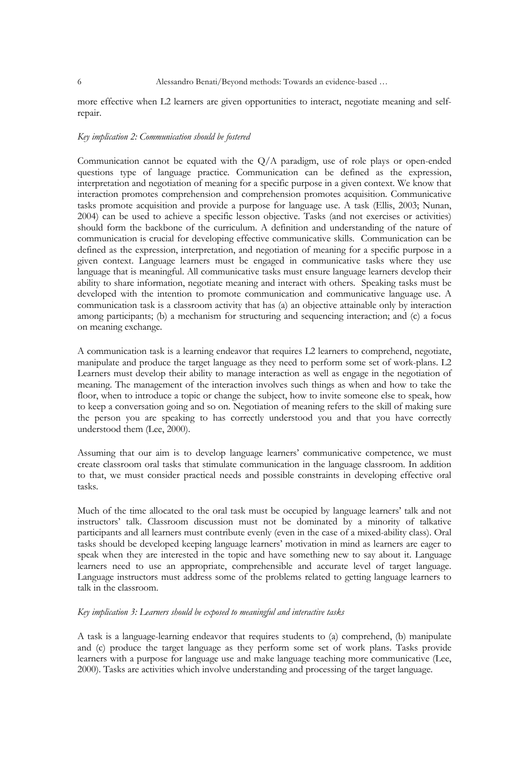more effective when L2 learners are given opportunities to interact, negotiate meaning and selfrepair.

#### *Key implication 2: Communication should be fostered*

Communication cannot be equated with the  $Q/A$  paradigm, use of role plays or open-ended questions type of language practice. Communication can be defined as the expression, interpretation and negotiation of meaning for a specific purpose in a given context. We know that interaction promotes comprehension and comprehension promotes acquisition. Communicative tasks promote acquisition and provide a purpose for language use. A task (Ellis, 2003; Nunan, 2004) can be used to achieve a specific lesson objective. Tasks (and not exercises or activities) should form the backbone of the curriculum. A definition and understanding of the nature of communication is crucial for developing effective communicative skills. Communication can be defined as the expression, interpretation, and negotiation of meaning for a specific purpose in a given context. Language learners must be engaged in communicative tasks where they use language that is meaningful. All communicative tasks must ensure language learners develop their ability to share information, negotiate meaning and interact with others. Speaking tasks must be developed with the intention to promote communication and communicative language use. A communication task is a classroom activity that has (a) an objective attainable only by interaction among participants; (b) a mechanism for structuring and sequencing interaction; and (c) a focus on meaning exchange.

A communication task is a learning endeavor that requires L2 learners to comprehend, negotiate, manipulate and produce the target language as they need to perform some set of work-plans. L2 Learners must develop their ability to manage interaction as well as engage in the negotiation of meaning. The management of the interaction involves such things as when and how to take the floor, when to introduce a topic or change the subject, how to invite someone else to speak, how to keep a conversation going and so on. Negotiation of meaning refers to the skill of making sure the person you are speaking to has correctly understood you and that you have correctly understood them (Lee, 2000).

Assuming that our aim is to develop language learners' communicative competence, we must create classroom oral tasks that stimulate communication in the language classroom. In addition to that, we must consider practical needs and possible constraints in developing effective oral tasks.

Much of the time allocated to the oral task must be occupied by language learners' talk and not instructors' talk. Classroom discussion must not be dominated by a minority of talkative participants and all learners must contribute evenly (even in the case of a mixed-ability class). Oral tasks should be developed keeping language learners' motivation in mind as learners are eager to speak when they are interested in the topic and have something new to say about it. Language learners need to use an appropriate, comprehensible and accurate level of target language. Language instructors must address some of the problems related to getting language learners to talk in the classroom.

# *Key implication 3: Learners should be exposed to meaningful and interactive tasks*

A task is a language-learning endeavor that requires students to (a) comprehend, (b) manipulate and (c) produce the target language as they perform some set of work plans. Tasks provide learners with a purpose for language use and make language teaching more communicative (Lee, 2000). Tasks are activities which involve understanding and processing of the target language.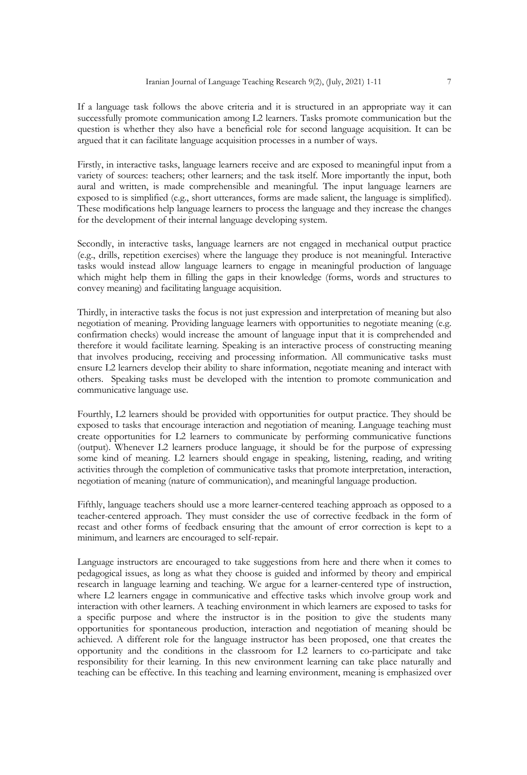If a language task follows the above criteria and it is structured in an appropriate way it can successfully promote communication among L2 learners. Tasks promote communication but the question is whether they also have a beneficial role for second language acquisition. It can be argued that it can facilitate language acquisition processes in a number of ways.

Firstly, in interactive tasks, language learners receive and are exposed to meaningful input from a variety of sources: teachers; other learners; and the task itself. More importantly the input, both aural and written, is made comprehensible and meaningful. The input language learners are exposed to is simplified (e.g., short utterances, forms are made salient, the language is simplified). These modifications help language learners to process the language and they increase the changes for the development of their internal language developing system.

Secondly, in interactive tasks, language learners are not engaged in mechanical output practice (e.g., drills, repetition exercises) where the language they produce is not meaningful. Interactive tasks would instead allow language learners to engage in meaningful production of language which might help them in filling the gaps in their knowledge (forms, words and structures to convey meaning) and facilitating language acquisition.

Thirdly, in interactive tasks the focus is not just expression and interpretation of meaning but also negotiation of meaning. Providing language learners with opportunities to negotiate meaning (e.g. confirmation checks) would increase the amount of language input that it is comprehended and therefore it would facilitate learning. Speaking is an interactive process of constructing meaning that involves producing, receiving and processing information. All communicative tasks must ensure L2 learners develop their ability to share information, negotiate meaning and interact with others. Speaking tasks must be developed with the intention to promote communication and communicative language use.

Fourthly, L2 learners should be provided with opportunities for output practice. They should be exposed to tasks that encourage interaction and negotiation of meaning. Language teaching must create opportunities for L2 learners to communicate by performing communicative functions (output). Whenever L2 learners produce language, it should be for the purpose of expressing some kind of meaning. L2 learners should engage in speaking, listening, reading, and writing activities through the completion of communicative tasks that promote interpretation, interaction, negotiation of meaning (nature of communication), and meaningful language production.

Fifthly, language teachers should use a more learner-centered teaching approach as opposed to a teacher-centered approach. They must consider the use of corrective feedback in the form of recast and other forms of feedback ensuring that the amount of error correction is kept to a minimum, and learners are encouraged to self-repair.

Language instructors are encouraged to take suggestions from here and there when it comes to pedagogical issues, as long as what they choose is guided and informed by theory and empirical research in language learning and teaching. We argue for a learner-centered type of instruction, where L2 learners engage in communicative and effective tasks which involve group work and interaction with other learners. A teaching environment in which learners are exposed to tasks for a specific purpose and where the instructor is in the position to give the students many opportunities for spontaneous production, interaction and negotiation of meaning should be achieved. A different role for the language instructor has been proposed, one that creates the opportunity and the conditions in the classroom for L2 learners to co-participate and take responsibility for their learning. In this new environment learning can take place naturally and teaching can be effective. In this teaching and learning environment, meaning is emphasized over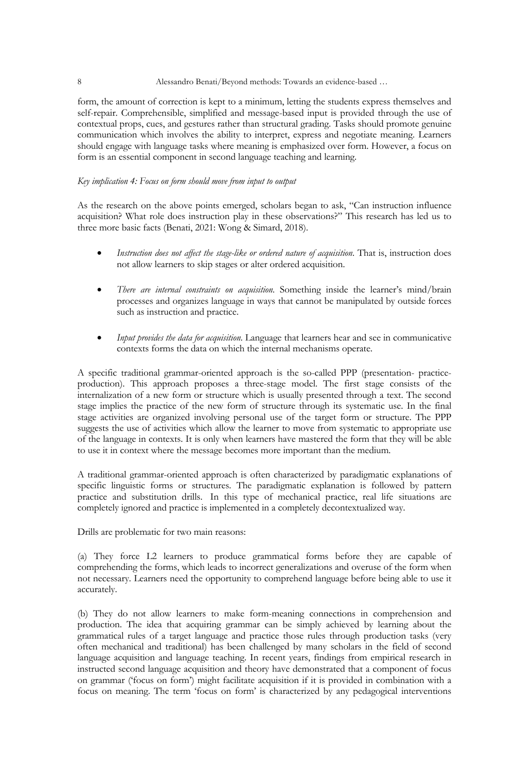#### 8 Alessandro Benati/Beyond methods: Towards an evidence-based …

form, the amount of correction is kept to a minimum, letting the students express themselves and self-repair. Comprehensible, simplified and message-based input is provided through the use of contextual props, cues, and gestures rather than structural grading. Tasks should promote genuine communication which involves the ability to interpret, express and negotiate meaning. Learners should engage with language tasks where meaning is emphasized over form. However, a focus on form is an essential component in second language teaching and learning.

# *Key implication 4: Focus on form should move from input to output*

As the research on the above points emerged, scholars began to ask, "Can instruction influence acquisition? What role does instruction play in these observations?" This research has led us to three more basic facts (Benati, 2021: Wong & Simard, 2018).

- *Instruction does not affect the stage-like or ordered nature of acquisition*. That is, instruction does not allow learners to skip stages or alter ordered acquisition.
- *There are internal constraints on acquisition*. Something inside the learner's mind/brain processes and organizes language in ways that cannot be manipulated by outside forces such as instruction and practice.
- *Input provides the data for acquisition*. Language that learners hear and see in communicative contexts forms the data on which the internal mechanisms operate.

A specific traditional grammar-oriented approach is the so-called PPP (presentation- practiceproduction). This approach proposes a three-stage model. The first stage consists of the internalization of a new form or structure which is usually presented through a text. The second stage implies the practice of the new form of structure through its systematic use. In the final stage activities are organized involving personal use of the target form or structure. The PPP suggests the use of activities which allow the learner to move from systematic to appropriate use of the language in contexts. It is only when learners have mastered the form that they will be able to use it in context where the message becomes more important than the medium.

A traditional grammar-oriented approach is often characterized by paradigmatic explanations of specific linguistic forms or structures. The paradigmatic explanation is followed by pattern practice and substitution drills. In this type of mechanical practice, real life situations are completely ignored and practice is implemented in a completely decontextualized way.

Drills are problematic for two main reasons:

(a) They force L2 learners to produce grammatical forms before they are capable of comprehending the forms, which leads to incorrect generalizations and overuse of the form when not necessary. Learners need the opportunity to comprehend language before being able to use it accurately.

(b) They do not allow learners to make form-meaning connections in comprehension and production. The idea that acquiring grammar can be simply achieved by learning about the grammatical rules of a target language and practice those rules through production tasks (very often mechanical and traditional) has been challenged by many scholars in the field of second language acquisition and language teaching. In recent years, findings from empirical research in instructed second language acquisition and theory have demonstrated that a component of focus on grammar ('focus on form') might facilitate acquisition if it is provided in combination with a focus on meaning. The term 'focus on form' is characterized by any pedagogical interventions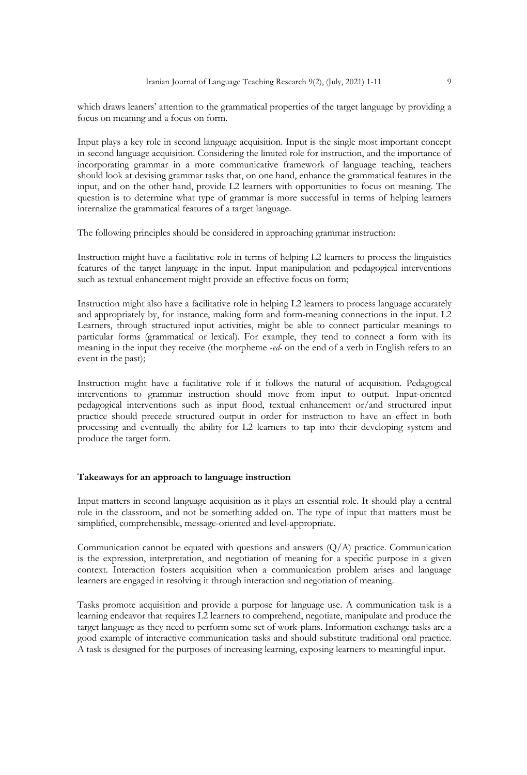which draws leaners' attention to the grammatical properties of the target language by providing a focus on meaning and a focus on form.

Input plays a key role in second language acquisition. Input is the single most important concept in second language acquisition. Considering the limited role for instruction, and the importance of incorporating grammar in a more communicative framework of language teaching, teachers should look at devising grammar tasks that, on one hand, enhance the grammatical features in the input, and on the other hand, provide L2 learners with opportunities to focus on meaning. The question is to determine what type of grammar is more successful in terms of helping learners internalize the grammatical features of a target language.

The following principles should be considered in approaching grammar instruction:

Instruction might have a facilitative role in terms of helping L2 learners to process the linguistics features of the target language in the input. Input manipulation and pedagogical interventions such as textual enhancement might provide an effective focus on form;

Instruction might also have a facilitative role in helping L2 learners to process language accurately and appropriately by, for instance, making form and form-meaning connections in the input. L2 Learners, through structured input activities, might be able to connect particular meanings to particular forms (grammatical or lexical). For example, they tend to connect a form with its meaning in the input they receive (the morpheme -*ed-* on the end of a verb in English refers to an event in the past);

Instruction might have a facilitative role if it follows the natural of acquisition. Pedagogical interventions to grammar instruction should move from input to output. Input-oriented pedagogical interventions such as input flood, textual enhancement or/and structured input practice should precede structured output in order for instruction to have an effect in both processing and eventually the ability for L2 learners to tap into their developing system and produce the target form.

#### **Takeaways for an approach to language instruction**

Input matters in second language acquisition as it plays an essential role. It should play a central role in the classroom, and not be something added on. The type of input that matters must be simplified, comprehensible, message-oriented and level-appropriate.

Communication cannot be equated with questions and answers  $(Q/A)$  practice. Communication is the expression, interpretation, and negotiation of meaning for a specific purpose in a given context. Interaction fosters acquisition when a communication problem arises and language learners are engaged in resolving it through interaction and negotiation of meaning.

Tasks promote acquisition and provide a purpose for language use. A communication task is a learning endeavor that requires L2 learners to comprehend, negotiate, manipulate and produce the target language as they need to perform some set of work-plans. Information exchange tasks are a good example of interactive communication tasks and should substitute traditional oral practice. A task is designed for the purposes of increasing learning, exposing learners to meaningful input.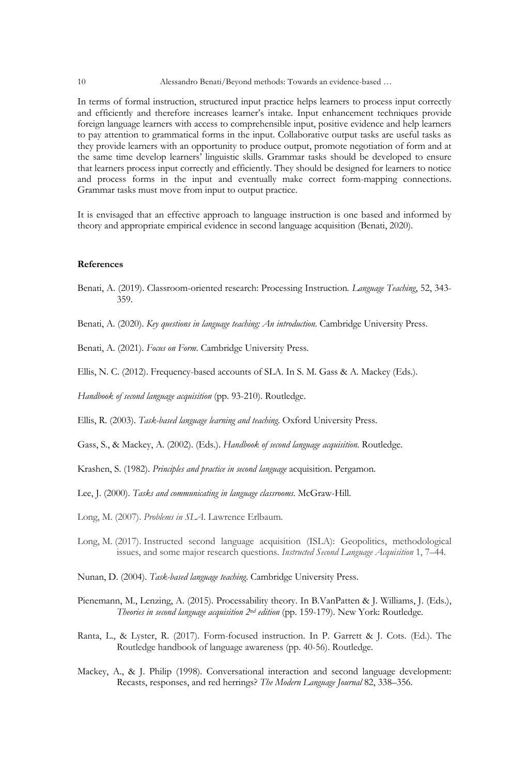#### 10 Alessandro Benati/Beyond methods: Towards an evidence-based …

In terms of formal instruction, structured input practice helps learners to process input correctly and efficiently and therefore increases learner's intake. Input enhancement techniques provide foreign language learners with access to comprehensible input, positive evidence and help learners to pay attention to grammatical forms in the input. Collaborative output tasks are useful tasks as they provide learners with an opportunity to produce output, promote negotiation of form and at the same time develop learners' linguistic skills. Grammar tasks should be developed to ensure that learners process input correctly and efficiently. They should be designed for learners to notice and process forms in the input and eventually make correct form-mapping connections. Grammar tasks must move from input to output practice.

It is envisaged that an effective approach to language instruction is one based and informed by theory and appropriate empirical evidence in second language acquisition (Benati, 2020).

# **References**

- Benati, A. (2019). Classroom-oriented research: Processing Instruction*. Language Teaching*, 52, 343- 359.
- Benati, A. (2020). *Key questions in language teaching: An introduction*. Cambridge University Press.
- Benati, A. (2021). *Focus on Form*. Cambridge University Press.
- Ellis, N. C. (2012). Frequency-based accounts of SLA. In S. M. Gass & A. Mackey (Eds.).

*Handbook of second language acquisition* (pp. 93-210). Routledge.

Ellis, R. (2003). *Task-based language learning and teaching*. Oxford University Press.

Gass, S., & Mackey, A. (2002). (Eds.). *Handbook of second language acquisition*. Routledge.

- Krashen, S. (1982). *Principles and practice in second language* acquisition. Pergamon.
- Lee, J. (2000). *Tasks and communicating in language classrooms*. McGraw-Hill.
- Long, M. (2007). *Problems in SLA*. Lawrence Erlbaum.
- Long, M. (2017). Instructed second language acquisition (ISLA): Geopolitics, methodological issues, and some major research questions. *Instructed Second Language Acquisition* 1, 7–44.
- Nunan, D. (2004). *Task-based language teaching*. Cambridge University Press.
- Pienemann, M., Lenzing, A. (2015). Processability theory. In B.VanPatten & J. Williams, J. (Eds.), *Theories in second language acquisition 2nd edition* (pp. 159-179). New York: Routledge.
- Ranta, L., & Lyster, R. (2017). Form-focused instruction. In P. Garrett & J. Cots. (Ed.). The Routledge handbook of language awareness (pp. 40-56). Routledge.
- Mackey, A., & J. Philip (1998). Conversational interaction and second language development: Recasts, responses, and red herrings? *The Modern Language Journal* 82, 338–356.